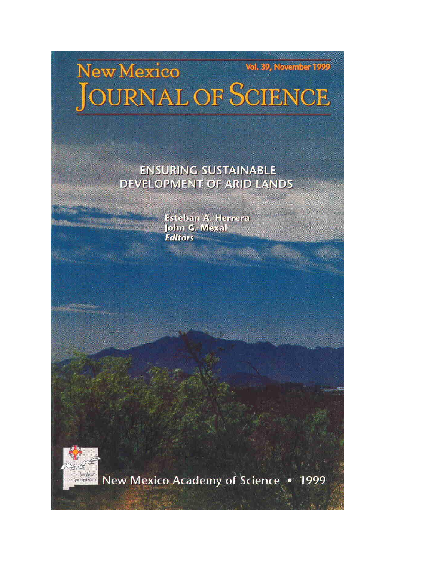## Vol. 39, November 1999 New Mexico JOURNAL OF SCIENCE

## **ENSURING SUSTAINABLE DEVELOPMENT OF ARID LANDS**

Esteban A. Herrera John G. Mexal **Editors** 



New Mexico Academy of Science . 1999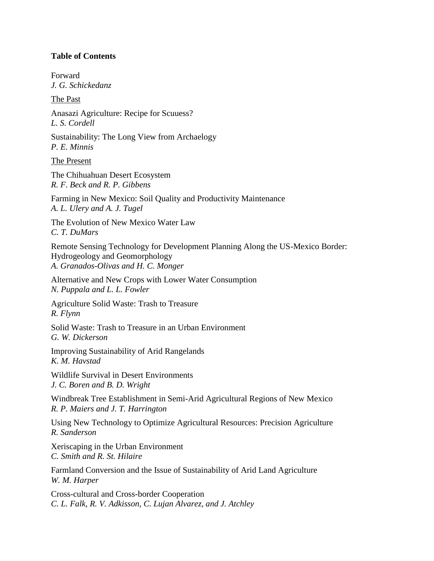## **Table of Contents**

Forward *J. G. Schickedanz*

The Past

Anasazi Agriculture: Recipe for Scuuess? *L. S. Cordell*

Sustainability: The Long View from Archaelogy *P. E. Minnis*

The Present

The Chihuahuan Desert Ecosystem *R. F. Beck and R. P. Gibbens*

Farming in New Mexico: Soil Quality and Productivity Maintenance *A. L. Ulery and A. J. Tugel*

The Evolution of New Mexico Water Law *C. T. DuMars*

Remote Sensing Technology for Development Planning Along the US-Mexico Border: Hydrogeology and Geomorphology *A. Granados-Olivas and H. C. Monger*

Alternative and New Crops with Lower Water Consumption *N. Puppala and L. L. Fowler*

Agriculture Solid Waste: Trash to Treasure *R. Flynn*

Solid Waste: Trash to Treasure in an Urban Environment *G. W. Dickerson*

Improving Sustainability of Arid Rangelands *K. M. Havstad*

Wildlife Survival in Desert Environments *J. C. Boren and B. D. Wright*

Windbreak Tree Establishment in Semi-Arid Agricultural Regions of New Mexico *R. P. Maiers and J. T. Harrington*

Using New Technology to Optimize Agricultural Resources: Precision Agriculture *R. Sanderson*

Xeriscaping in the Urban Environment *C. Smith and R. St. Hilaire*

Farmland Conversion and the Issue of Sustainability of Arid Land Agriculture *W. M. Harper*

Cross-cultural and Cross-border Cooperation *C. L. Falk, R. V. Adkisson, C. Lujan Alvarez, and J. Atchley*